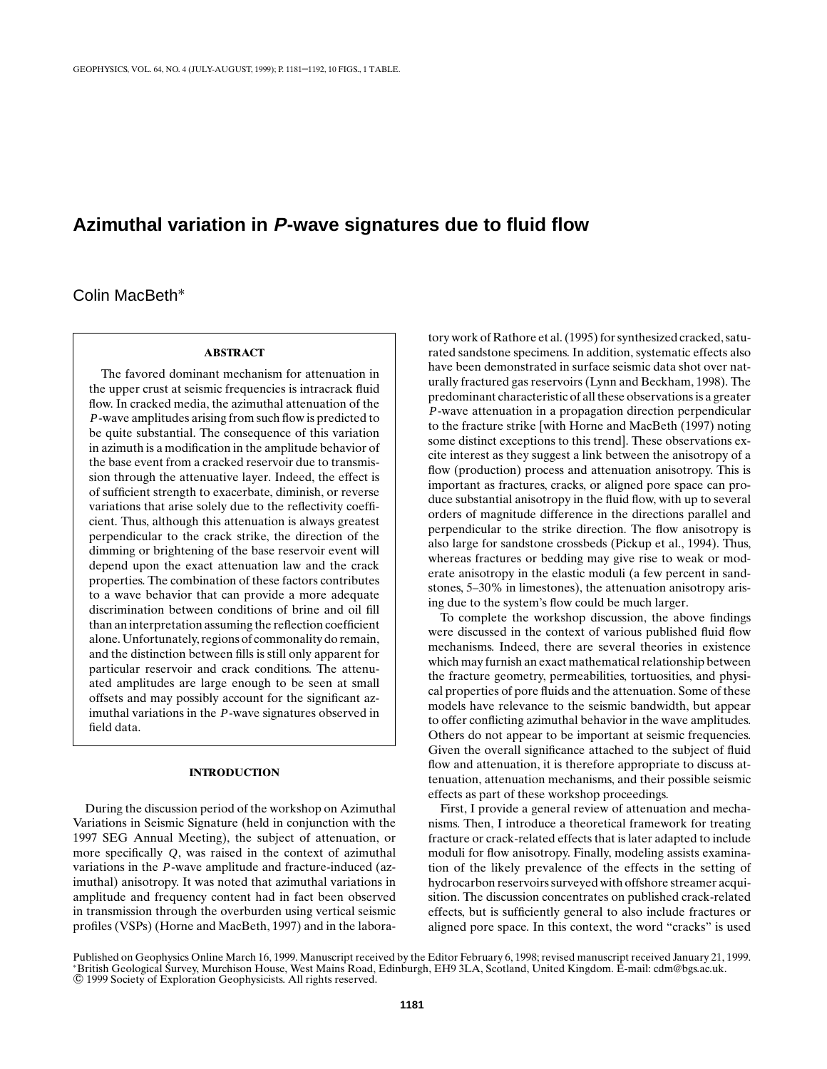# **Azimuthal variation in P-wave signatures due to fluid flow**

Colin MacBeth∗

## **ABSTRACT**

The favored dominant mechanism for attenuation in the upper crust at seismic frequencies is intracrack fluid flow. In cracked media, the azimuthal attenuation of the *P*-wave amplitudes arising from such flow is predicted to be quite substantial. The consequence of this variation in azimuth is a modification in the amplitude behavior of the base event from a cracked reservoir due to transmission through the attenuative layer. Indeed, the effect is of sufficient strength to exacerbate, diminish, or reverse variations that arise solely due to the reflectivity coefficient. Thus, although this attenuation is always greatest perpendicular to the crack strike, the direction of the dimming or brightening of the base reservoir event will depend upon the exact attenuation law and the crack properties. The combination of these factors contributes to a wave behavior that can provide a more adequate discrimination between conditions of brine and oil fill than an interpretation assuming the reflection coefficient alone. Unfortunately, regions of commonality do remain, and the distinction between fills is still only apparent for particular reservoir and crack conditions. The attenuated amplitudes are large enough to be seen at small offsets and may possibly account for the significant azimuthal variations in the *P*-wave signatures observed in field data.

## **INTRODUCTION**

During the discussion period of the workshop on Azimuthal Variations in Seismic Signature (held in conjunction with the 1997 SEG Annual Meeting), the subject of attenuation, or more specifically *Q*, was raised in the context of azimuthal variations in the *P*-wave amplitude and fracture-induced (azimuthal) anisotropy. It was noted that azimuthal variations in amplitude and frequency content had in fact been observed in transmission through the overburden using vertical seismic profiles (VSPs) (Horne and MacBeth, 1997) and in the labora-

tory work of Rathore et al. (1995) for synthesized cracked, saturated sandstone specimens. In addition, systematic effects also have been demonstrated in surface seismic data shot over naturally fractured gas reservoirs (Lynn and Beckham, 1998). The predominant characteristic of all these observations is a greater *P*-wave attenuation in a propagation direction perpendicular to the fracture strike [with Horne and MacBeth (1997) noting some distinct exceptions to this trend]. These observations excite interest as they suggest a link between the anisotropy of a flow (production) process and attenuation anisotropy. This is important as fractures, cracks, or aligned pore space can produce substantial anisotropy in the fluid flow, with up to several orders of magnitude difference in the directions parallel and perpendicular to the strike direction. The flow anisotropy is also large for sandstone crossbeds (Pickup et al., 1994). Thus, whereas fractures or bedding may give rise to weak or moderate anisotropy in the elastic moduli (a few percent in sandstones, 5–30% in limestones), the attenuation anisotropy arising due to the system's flow could be much larger.

To complete the workshop discussion, the above findings were discussed in the context of various published fluid flow mechanisms. Indeed, there are several theories in existence which may furnish an exact mathematical relationship between the fracture geometry, permeabilities, tortuosities, and physical properties of pore fluids and the attenuation. Some of these models have relevance to the seismic bandwidth, but appear to offer conflicting azimuthal behavior in the wave amplitudes. Others do not appear to be important at seismic frequencies. Given the overall significance attached to the subject of fluid flow and attenuation, it is therefore appropriate to discuss attenuation, attenuation mechanisms, and their possible seismic effects as part of these workshop proceedings.

First, I provide a general review of attenuation and mechanisms. Then, I introduce a theoretical framework for treating fracture or crack-related effects that is later adapted to include moduli for flow anisotropy. Finally, modeling assists examination of the likely prevalence of the effects in the setting of hydrocarbon reservoirs surveyed with offshore streamer acquisition. The discussion concentrates on published crack-related effects, but is sufficiently general to also include fractures or aligned pore space. In this context, the word "cracks" is used

Published on Geophysics Online March 16, 1999. Manuscript received by the Editor February 6, 1998; revised manuscript received January 21, 1999. <sup>∗</sup>British Geological Survey, Murchison House, West Mains Road, Edinburgh, EH9 3LA, Scotland, United Kingdom. E-mail: cdm@bgs.ac.uk. °c 1999 Society of Exploration Geophysicists. All rights reserved.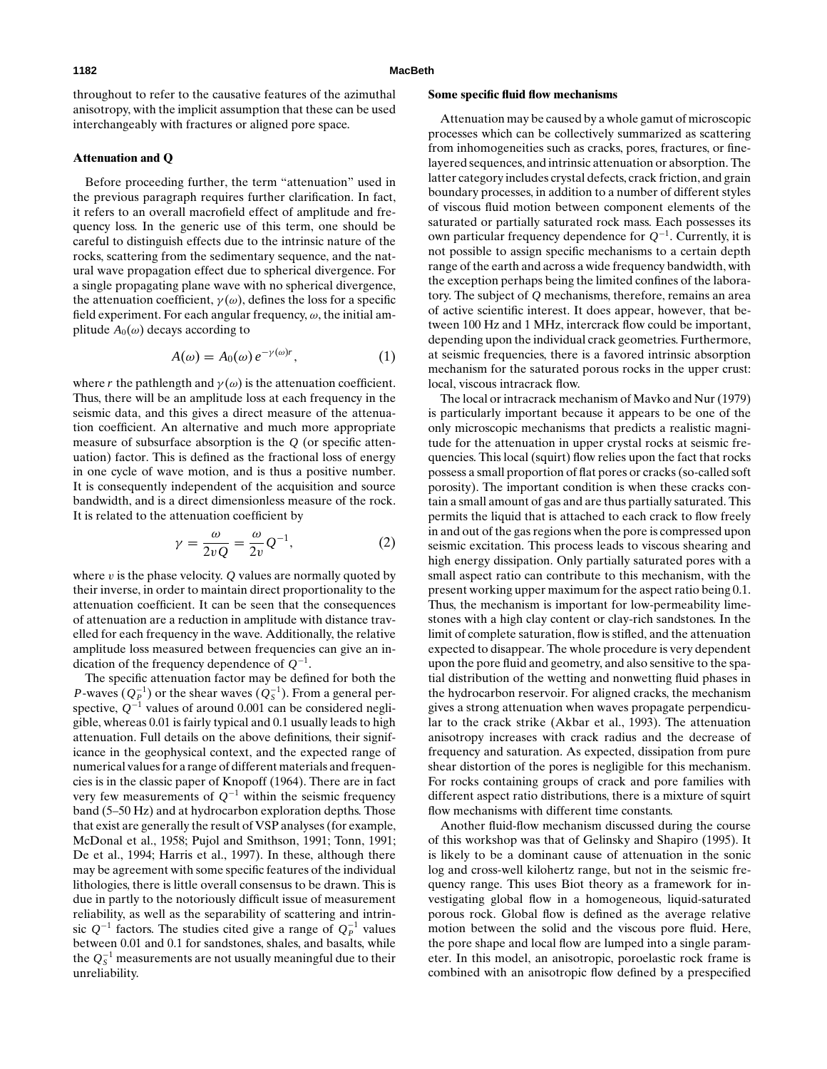throughout to refer to the causative features of the azimuthal anisotropy, with the implicit assumption that these can be used interchangeably with fractures or aligned pore space.

## **Attenuation and Q**

Before proceeding further, the term "attenuation" used in the previous paragraph requires further clarification. In fact, it refers to an overall macrofield effect of amplitude and frequency loss. In the generic use of this term, one should be careful to distinguish effects due to the intrinsic nature of the rocks, scattering from the sedimentary sequence, and the natural wave propagation effect due to spherical divergence. For a single propagating plane wave with no spherical divergence, the attenuation coefficient,  $\gamma(\omega)$ , defines the loss for a specific field experiment. For each angular frequency,  $\omega$ , the initial amplitude  $A_0(\omega)$  decays according to

$$
A(\omega) = A_0(\omega) e^{-\gamma(\omega)r}, \qquad (1)
$$

where *r* the pathlength and  $\gamma(\omega)$  is the attenuation coefficient. Thus, there will be an amplitude loss at each frequency in the seismic data, and this gives a direct measure of the attenuation coefficient. An alternative and much more appropriate measure of subsurface absorption is the *Q* (or specific attenuation) factor. This is defined as the fractional loss of energy in one cycle of wave motion, and is thus a positive number. It is consequently independent of the acquisition and source bandwidth, and is a direct dimensionless measure of the rock. It is related to the attenuation coefficient by

$$
\gamma = \frac{\omega}{2vQ} = \frac{\omega}{2v}Q^{-1},\qquad(2)
$$

where  $v$  is the phase velocity.  $Q$  values are normally quoted by their inverse, in order to maintain direct proportionality to the attenuation coefficient. It can be seen that the consequences of attenuation are a reduction in amplitude with distance travelled for each frequency in the wave. Additionally, the relative amplitude loss measured between frequencies can give an indication of the frequency dependence of *Q*−1.

The specific attenuation factor may be defined for both the *P*-waves  $(Q_P^{-1})$  or the shear waves  $(Q_S^{-1})$ . From a general perspective, *Q*−<sup>1</sup> values of around 0.001 can be considered negligible, whereas 0.01 is fairly typical and 0.1 usually leads to high attenuation. Full details on the above definitions, their significance in the geophysical context, and the expected range of numerical values for a range of different materials and frequencies is in the classic paper of Knopoff (1964). There are in fact very few measurements of *Q*−<sup>1</sup> within the seismic frequency band (5–50 Hz) and at hydrocarbon exploration depths. Those that exist are generally the result of VSP analyses (for example, McDonal et al., 1958; Pujol and Smithson, 1991; Tonn, 1991; De et al., 1994; Harris et al., 1997). In these, although there may be agreement with some specific features of the individual lithologies, there is little overall consensus to be drawn. This is due in partly to the notoriously difficult issue of measurement reliability, as well as the separability of scattering and intrinsic  $Q^{-1}$  factors. The studies cited give a range of  $Q_P^{-1}$  values between 0.01 and 0.1 for sandstones, shales, and basalts, while the  $Q_S^{-1}$  measurements are not usually meaningful due to their unreliability.

#### **Some specific fluid flow mechanisms**

Attenuation may be caused by a whole gamut of microscopic processes which can be collectively summarized as scattering from inhomogeneities such as cracks, pores, fractures, or finelayered sequences, and intrinsic attenuation or absorption. The latter category includes crystal defects, crack friction, and grain boundary processes, in addition to a number of different styles of viscous fluid motion between component elements of the saturated or partially saturated rock mass. Each possesses its own particular frequency dependence for *Q*−1. Currently, it is not possible to assign specific mechanisms to a certain depth range of the earth and across a wide frequency bandwidth, with the exception perhaps being the limited confines of the laboratory. The subject of *Q* mechanisms, therefore, remains an area of active scientific interest. It does appear, however, that between 100 Hz and 1 MHz, intercrack flow could be important, depending upon the individual crack geometries. Furthermore, at seismic frequencies, there is a favored intrinsic absorption mechanism for the saturated porous rocks in the upper crust: local, viscous intracrack flow.

The local or intracrack mechanism of Mavko and Nur (1979) is particularly important because it appears to be one of the only microscopic mechanisms that predicts a realistic magnitude for the attenuation in upper crystal rocks at seismic frequencies. This local (squirt) flow relies upon the fact that rocks possess a small proportion of flat pores or cracks (so-called soft porosity). The important condition is when these cracks contain a small amount of gas and are thus partially saturated. This permits the liquid that is attached to each crack to flow freely in and out of the gas regions when the pore is compressed upon seismic excitation. This process leads to viscous shearing and high energy dissipation. Only partially saturated pores with a small aspect ratio can contribute to this mechanism, with the present working upper maximum for the aspect ratio being 0.1. Thus, the mechanism is important for low-permeability limestones with a high clay content or clay-rich sandstones. In the limit of complete saturation, flow is stifled, and the attenuation expected to disappear. The whole procedure is very dependent upon the pore fluid and geometry, and also sensitive to the spatial distribution of the wetting and nonwetting fluid phases in the hydrocarbon reservoir. For aligned cracks, the mechanism gives a strong attenuation when waves propagate perpendicular to the crack strike (Akbar et al., 1993). The attenuation anisotropy increases with crack radius and the decrease of frequency and saturation. As expected, dissipation from pure shear distortion of the pores is negligible for this mechanism. For rocks containing groups of crack and pore families with different aspect ratio distributions, there is a mixture of squirt flow mechanisms with different time constants.

Another fluid-flow mechanism discussed during the course of this workshop was that of Gelinsky and Shapiro (1995). It is likely to be a dominant cause of attenuation in the sonic log and cross-well kilohertz range, but not in the seismic frequency range. This uses Biot theory as a framework for investigating global flow in a homogeneous, liquid-saturated porous rock. Global flow is defined as the average relative motion between the solid and the viscous pore fluid. Here, the pore shape and local flow are lumped into a single parameter. In this model, an anisotropic, poroelastic rock frame is combined with an anisotropic flow defined by a prespecified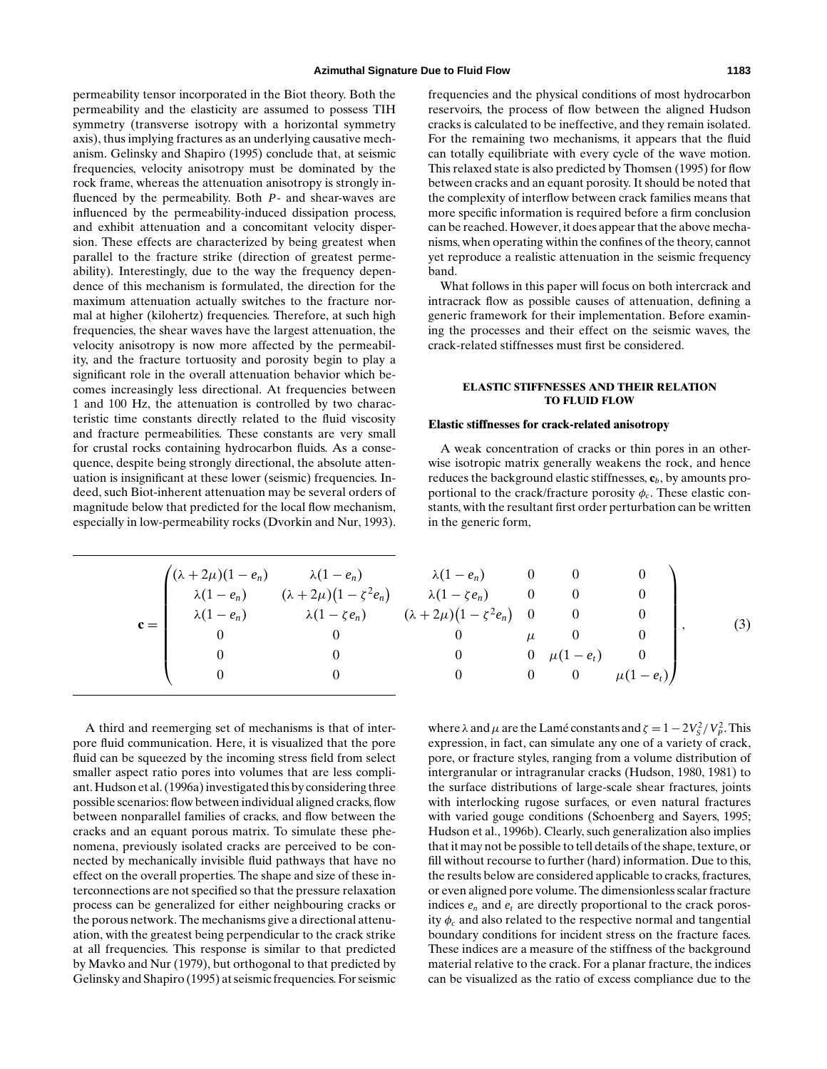permeability tensor incorporated in the Biot theory. Both the permeability and the elasticity are assumed to possess TIH symmetry (transverse isotropy with a horizontal symmetry axis), thus implying fractures as an underlying causative mechanism. Gelinsky and Shapiro (1995) conclude that, at seismic frequencies, velocity anisotropy must be dominated by the rock frame, whereas the attenuation anisotropy is strongly influenced by the permeability. Both *P*- and shear-waves are influenced by the permeability-induced dissipation process, and exhibit attenuation and a concomitant velocity dispersion. These effects are characterized by being greatest when parallel to the fracture strike (direction of greatest permeability). Interestingly, due to the way the frequency dependence of this mechanism is formulated, the direction for the maximum attenuation actually switches to the fracture normal at higher (kilohertz) frequencies. Therefore, at such high frequencies, the shear waves have the largest attenuation, the velocity anisotropy is now more affected by the permeability, and the fracture tortuosity and porosity begin to play a significant role in the overall attenuation behavior which becomes increasingly less directional. At frequencies between 1 and 100 Hz, the attenuation is controlled by two characteristic time constants directly related to the fluid viscosity and fracture permeabilities. These constants are very small for crustal rocks containing hydrocarbon fluids. As a consequence, despite being strongly directional, the absolute attenuation is insignificant at these lower (seismic) frequencies. Indeed, such Biot-inherent attenuation may be several orders of magnitude below that predicted for the local flow mechanism, especially in low-permeability rocks (Dvorkin and Nur, 1993). frequencies and the physical conditions of most hydrocarbon reservoirs, the process of flow between the aligned Hudson cracks is calculated to be ineffective, and they remain isolated. For the remaining two mechanisms, it appears that the fluid can totally equilibriate with every cycle of the wave motion. This relaxed state is also predicted by Thomsen (1995) for flow between cracks and an equant porosity. It should be noted that the complexity of interflow between crack families means that more specific information is required before a firm conclusion can be reached. However, it does appear that the above mechanisms, when operating within the confines of the theory, cannot yet reproduce a realistic attenuation in the seismic frequency band.

What follows in this paper will focus on both intercrack and intracrack flow as possible causes of attenuation, defining a generic framework for their implementation. Before examining the processes and their effect on the seismic waves, the crack-related stiffnesses must first be considered.

## **ELASTIC STIFFNESSES AND THEIR RELATION TO FLUID FLOW**

#### **Elastic stiffnesses for crack-related anisotropy**

A weak concentration of cracks or thin pores in an otherwise isotropic matrix generally weakens the rock, and hence reduces the background elastic stiffnesses, **c***b*, by amounts proportional to the crack/fracture porosity  $\phi_c$ . These elastic constants, with the resultant first order perturbation can be written in the generic form,

$$
\mathbf{c} = \begin{pmatrix} (\lambda + 2\mu)(1 - e_n) & \lambda(1 - e_n) & \lambda(1 - e_n) & 0 & 0 & 0 \\ \lambda(1 - e_n) & (\lambda + 2\mu)(1 - \zeta^2 e_n) & \lambda(1 - \zeta e_n) & 0 & 0 & 0 \\ \lambda(1 - e_n) & \lambda(1 - \zeta e_n) & (\lambda + 2\mu)(1 - \zeta^2 e_n) & 0 & 0 & 0 \\ 0 & 0 & 0 & \mu & 0 & 0 \\ 0 & 0 & 0 & 0 & \mu(1 - e_t) & 0 \\ 0 & 0 & 0 & 0 & \mu(1 - e_t) \end{pmatrix},
$$
(3)

A third and reemerging set of mechanisms is that of interpore fluid communication. Here, it is visualized that the pore fluid can be squeezed by the incoming stress field from select smaller aspect ratio pores into volumes that are less compliant. Hudson et al. (1996a) investigated this by considering three possible scenarios: flow between individual aligned cracks, flow between nonparallel families of cracks, and flow between the cracks and an equant porous matrix. To simulate these phenomena, previously isolated cracks are perceived to be connected by mechanically invisible fluid pathways that have no effect on the overall properties. The shape and size of these interconnections are not specified so that the pressure relaxation process can be generalized for either neighbouring cracks or the porous network. The mechanisms give a directional attenuation, with the greatest being perpendicular to the crack strike at all frequencies. This response is similar to that predicted by Mavko and Nur (1979), but orthogonal to that predicted by Gelinsky and Shapiro (1995) at seismic frequencies. For seismic

where  $\lambda$  and  $\mu$  are the Lamé constants and  $\zeta = 1 - 2V_s^2/V_p^2$ . This expression, in fact, can simulate any one of a variety of crack, pore, or fracture styles, ranging from a volume distribution of intergranular or intragranular cracks (Hudson, 1980, 1981) to the surface distributions of large-scale shear fractures, joints with interlocking rugose surfaces, or even natural fractures with varied gouge conditions (Schoenberg and Sayers, 1995; Hudson et al., 1996b). Clearly, such generalization also implies that it may not be possible to tell details of the shape, texture, or fill without recourse to further (hard) information. Due to this, the results below are considered applicable to cracks, fractures, or even aligned pore volume. The dimensionless scalar fracture indices  $e_n$  and  $e_t$  are directly proportional to the crack porosity  $\phi_c$  and also related to the respective normal and tangential boundary conditions for incident stress on the fracture faces. These indices are a measure of the stiffness of the background material relative to the crack. For a planar fracture, the indices can be visualized as the ratio of excess compliance due to the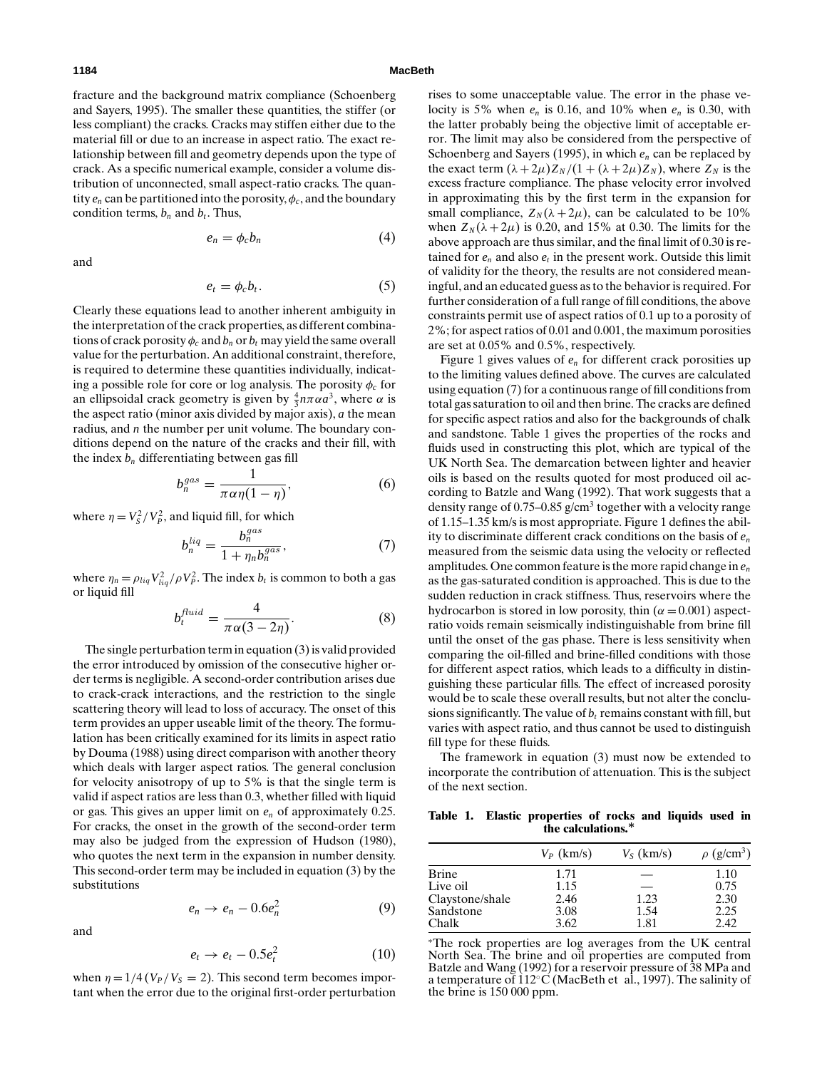#### **1184 MacBeth**

fracture and the background matrix compliance (Schoenberg and Sayers, 1995). The smaller these quantities, the stiffer (or less compliant) the cracks. Cracks may stiffen either due to the material fill or due to an increase in aspect ratio. The exact relationship between fill and geometry depends upon the type of crack. As a specific numerical example, consider a volume distribution of unconnected, small aspect-ratio cracks. The quantity  $e_n$  can be partitioned into the porosity,  $\phi_c$ , and the boundary condition terms,  $b_n$  and  $b_t$ . Thus,

$$
e_n = \phi_c b_n \tag{4}
$$

and

$$
e_t = \phi_c b_t. \tag{5}
$$

Clearly these equations lead to another inherent ambiguity in the interpretation of the crack properties, as different combinations of crack porosity  $\phi_c$  and  $b_n$  or  $b_t$  may yield the same overall value for the perturbation. An additional constraint, therefore, is required to determine these quantities individually, indicating a possible role for core or log analysis. The porosity  $\phi_c$  for an ellipsoidal crack geometry is given by  $\frac{4}{3}n\pi\alpha a^3$ , where  $\alpha$  is the aspect ratio (minor axis divided by major axis), *a* the mean radius, and *n* the number per unit volume. The boundary conditions depend on the nature of the cracks and their fill, with the index  $b_n$  differentiating between gas fill

$$
b_n^{gas} = \frac{1}{\pi \alpha \eta (1 - \eta)},\tag{6}
$$

where  $\eta = V_s^2 / V_p^2$ , and liquid fill, for which

$$
b_n^{liq} = \frac{b_n^{gas}}{1 + \eta_n b_n^{gas}},\tag{7}
$$

where  $\eta_n = \rho_{liq} V_{liq}^2 / \rho V_p^2$ . The index  $b_t$  is common to both a gas or liquid fill

$$
b_t^{fluid} = \frac{4}{\pi \alpha (3 - 2\eta)}.
$$
 (8)

The single perturbation term in equation (3) is valid provided the error introduced by omission of the consecutive higher order terms is negligible. A second-order contribution arises due to crack-crack interactions, and the restriction to the single scattering theory will lead to loss of accuracy. The onset of this term provides an upper useable limit of the theory. The formulation has been critically examined for its limits in aspect ratio by Douma (1988) using direct comparison with another theory which deals with larger aspect ratios. The general conclusion for velocity anisotropy of up to 5% is that the single term is valid if aspect ratios are less than 0.3, whether filled with liquid or gas. This gives an upper limit on *en* of approximately 0.25. For cracks, the onset in the growth of the second-order term may also be judged from the expression of Hudson (1980), who quotes the next term in the expansion in number density. This second-order term may be included in equation (3) by the substitutions

$$
e_n \to e_n - 0.6e_n^2 \tag{9}
$$

and

$$
e_t \to e_t - 0.5e_t^2 \tag{10}
$$

when  $\eta = 1/4$  ( $V_P$ / $V_S = 2$ ). This second term becomes important when the error due to the original first-order perturbation rises to some unacceptable value. The error in the phase velocity is 5% when  $e_n$  is 0.16, and 10% when  $e_n$  is 0.30, with the latter probably being the objective limit of acceptable error. The limit may also be considered from the perspective of Schoenberg and Sayers (1995), in which *en* can be replaced by the exact term  $(\lambda + 2\mu)Z_N/(1 + (\lambda + 2\mu)Z_N)$ , where  $Z_N$  is the excess fracture compliance. The phase velocity error involved in approximating this by the first term in the expansion for small compliance,  $Z_N(\lambda + 2\mu)$ , can be calculated to be 10% when  $Z_N(\lambda + 2\mu)$  is 0.20, and 15% at 0.30. The limits for the above approach are thus similar, and the final limit of 0.30 is retained for  $e_n$  and also  $e_t$  in the present work. Outside this limit of validity for the theory, the results are not considered meaningful, and an educated guess as to the behavior is required. For further consideration of a full range of fill conditions, the above constraints permit use of aspect ratios of 0.1 up to a porosity of 2%; for aspect ratios of 0.01 and 0.001, the maximum porosities are set at 0.05% and 0.5%, respectively.

Figure 1 gives values of *en* for different crack porosities up to the limiting values defined above. The curves are calculated using equation (7) for a continuous range of fill conditions from total gas saturation to oil and then brine. The cracks are defined for specific aspect ratios and also for the backgrounds of chalk and sandstone. Table 1 gives the properties of the rocks and fluids used in constructing this plot, which are typical of the UK North Sea. The demarcation between lighter and heavier oils is based on the results quoted for most produced oil according to Batzle and Wang (1992). That work suggests that a density range of 0.75–0.85 g/cm<sup>3</sup> together with a velocity range of 1.15–1.35 km/s is most appropriate. Figure 1 defines the ability to discriminate different crack conditions on the basis of *en* measured from the seismic data using the velocity or reflected amplitudes. One common feature is the more rapid change in *en* as the gas-saturated condition is approached. This is due to the sudden reduction in crack stiffness. Thus, reservoirs where the hydrocarbon is stored in low porosity, thin ( $\alpha = 0.001$ ) aspectratio voids remain seismically indistinguishable from brine fill until the onset of the gas phase. There is less sensitivity when comparing the oil-filled and brine-filled conditions with those for different aspect ratios, which leads to a difficulty in distinguishing these particular fills. The effect of increased porosity would be to scale these overall results, but not alter the conclusions significantly. The value of  $b_t$  remains constant with fill, but varies with aspect ratio, and thus cannot be used to distinguish fill type for these fluids.

The framework in equation (3) must now be extended to incorporate the contribution of attenuation. This is the subject of the next section.

**Table 1. Elastic properties of rocks and liquids used in the calculations.***∗*

|                 | $V_P$ (km/s) | $V_s$ (km/s) | $\rho$ (g/cm <sup>3</sup> ) |
|-----------------|--------------|--------------|-----------------------------|
| Brine           | 1.71         |              | 1.10                        |
| Live oil        | 1.15         |              | 0.75                        |
| Claystone/shale | 2.46         | 1.23         | 2.30                        |
| Sandstone       | 3.08         | 1.54         | 2.25                        |
| Chalk           | 3.62         | 1.81         | 2.42                        |

<sup>∗</sup>The rock properties are log averages from the UK central North Sea. The brine and oil properties are computed from Batzle and Wang (1992) for a reservoir pressure of 38 MPa and a temperature of  $112°C$  (MacBeth et al., 1997). The salinity of the brine is 150 000 ppm.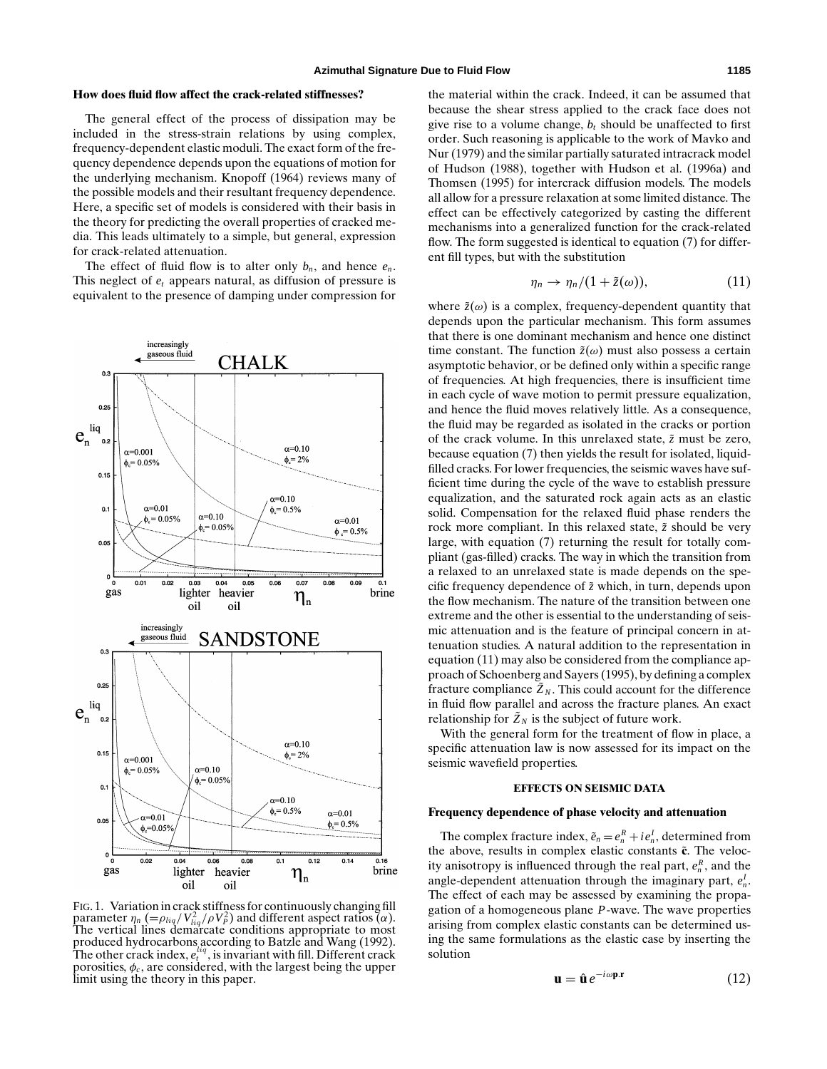#### **How does fluid flow affect the crack-related stiffnesses?**

The general effect of the process of dissipation may be included in the stress-strain relations by using complex, frequency-dependent elastic moduli. The exact form of the frequency dependence depends upon the equations of motion for the underlying mechanism. Knopoff (1964) reviews many of the possible models and their resultant frequency dependence. Here, a specific set of models is considered with their basis in the theory for predicting the overall properties of cracked media. This leads ultimately to a simple, but general, expression for crack-related attenuation.

The effect of fluid flow is to alter only  $b_n$ , and hence  $e_n$ . This neglect of *et* appears natural, as diffusion of pressure is equivalent to the presence of damping under compression for



FIG. 1. Variation in crack stiffness for continuously changing fill parameter  $\eta_n$  (= $\rho_{liq}/\nu_{liq}^2/\rho V_p^2$ ) and different aspect ratios ( $\alpha$ ).<br>The vertical lines demarcate conditions appropriate to most produced hydrocarbons according to Batzle and Wang (1992). The other crack index,  $e_t^{liq}$ , is invariant with fill. Different crack porosities,  $\phi_c$ , are considered, with the largest being the upper limit using the theory in this paper.

the material within the crack. Indeed, it can be assumed that because the shear stress applied to the crack face does not give rise to a volume change,  $b_t$  should be unaffected to first order. Such reasoning is applicable to the work of Mavko and Nur (1979) and the similar partially saturated intracrack model of Hudson (1988), together with Hudson et al. (1996a) and Thomsen (1995) for intercrack diffusion models. The models all allow for a pressure relaxation at some limited distance. The effect can be effectively categorized by casting the different mechanisms into a generalized function for the crack-related flow. The form suggested is identical to equation (7) for different fill types, but with the substitution

$$
\eta_n \to \eta_n/(1+\tilde{z}(\omega)), \tag{11}
$$

where  $\tilde{z}(\omega)$  is a complex, frequency-dependent quantity that depends upon the particular mechanism. This form assumes that there is one dominant mechanism and hence one distinct time constant. The function  $\tilde{z}(\omega)$  must also possess a certain asymptotic behavior, or be defined only within a specific range of frequencies. At high frequencies, there is insufficient time in each cycle of wave motion to permit pressure equalization, and hence the fluid moves relatively little. As a consequence, the fluid may be regarded as isolated in the cracks or portion of the crack volume. In this unrelaxed state,  $\tilde{z}$  must be zero, because equation (7) then yields the result for isolated, liquidfilled cracks. For lower frequencies, the seismic waves have sufficient time during the cycle of the wave to establish pressure equalization, and the saturated rock again acts as an elastic solid. Compensation for the relaxed fluid phase renders the rock more compliant. In this relaxed state,  $\tilde{z}$  should be very large, with equation (7) returning the result for totally compliant (gas-filled) cracks. The way in which the transition from a relaxed to an unrelaxed state is made depends on the specific frequency dependence of ˜*z* which, in turn, depends upon the flow mechanism. The nature of the transition between one extreme and the other is essential to the understanding of seismic attenuation and is the feature of principal concern in attenuation studies. A natural addition to the representation in equation (11) may also be considered from the compliance approach of Schoenberg and Sayers (1995), by defining a complex fracture compliance  $\tilde{Z}_N$ . This could account for the difference in fluid flow parallel and across the fracture planes. An exact relationship for  $\tilde{Z}_N$  is the subject of future work.

With the general form for the treatment of flow in place, a specific attenuation law is now assessed for its impact on the seismic wavefield properties.

## **EFFECTS ON SEISMIC DATA**

#### **Frequency dependence of phase velocity and attenuation**

The complex fracture index,  $\tilde{e}_n = e_n^R + ie_n^I$ , determined from the above, results in complex elastic constants  $\tilde{c}$ . The velocity anisotropy is influenced through the real part,  $e_n^R$ , and the angle-dependent attenuation through the imaginary part,  $e^I_n$ . The effect of each may be assessed by examining the propagation of a homogeneous plane *P*-wave. The wave properties arising from complex elastic constants can be determined using the same formulations as the elastic case by inserting the solution

$$
\mathbf{u} = \hat{\mathbf{u}} e^{-i\omega \mathbf{p} \cdot \mathbf{r}} \tag{12}
$$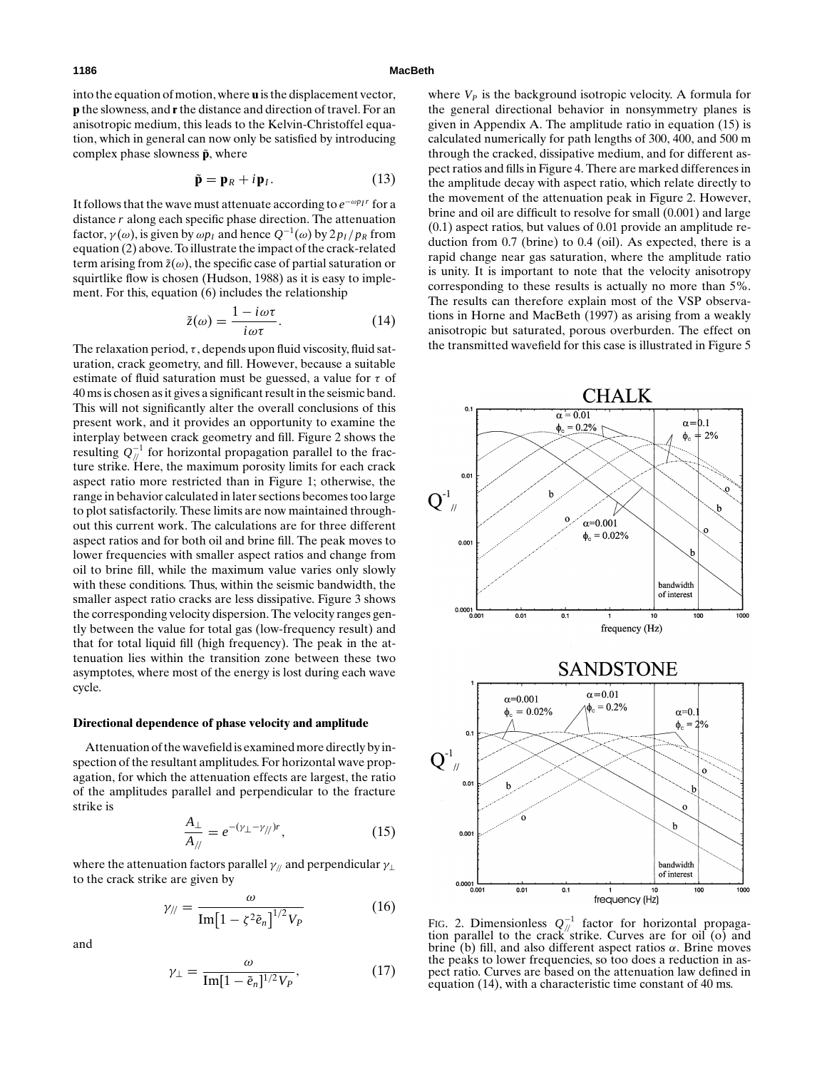into the equation of motion, where **u** is the displacement vector, **p** the slowness, and **r**the distance and direction of travel. For an anisotropic medium, this leads to the Kelvin-Christoffel equation, which in general can now only be satisfied by introducing complex phase slowness  $\tilde{p}$ , where

$$
\tilde{\mathbf{p}} = \mathbf{p}_R + i\mathbf{p}_I. \tag{13}
$$

It follows that the wave must attenuate according to *e*−ω*pIr* for a distance *r* along each specific phase direction. The attenuation factor,  $\gamma(\omega)$ , is given by  $\omega p_l$  and hence  $Q^{-1}(\omega)$  by  $2p_l/p_R$  from equation (2) above. To illustrate the impact of the crack-related term arising from  $\tilde{z}(\omega)$ , the specific case of partial saturation or squirtlike flow is chosen (Hudson, 1988) as it is easy to implement. For this, equation (6) includes the relationship

$$
\tilde{z}(\omega) = \frac{1 - i\omega\tau}{i\omega\tau}.
$$
\n(14)

The relaxation period,  $\tau$ , depends upon fluid viscosity, fluid saturation, crack geometry, and fill. However, because a suitable estimate of fluid saturation must be guessed, a value for  $\tau$  of 40 ms is chosen as it gives a significant result in the seismic band. This will not significantly alter the overall conclusions of this present work, and it provides an opportunity to examine the interplay between crack geometry and fill. Figure 2 shows the resulting *Q*−<sup>1</sup> // for horizontal propagation parallel to the fracture strike. Here, the maximum porosity limits for each crack aspect ratio more restricted than in Figure 1; otherwise, the range in behavior calculated in later sections becomes too large to plot satisfactorily. These limits are now maintained throughout this current work. The calculations are for three different aspect ratios and for both oil and brine fill. The peak moves to lower frequencies with smaller aspect ratios and change from oil to brine fill, while the maximum value varies only slowly with these conditions. Thus, within the seismic bandwidth, the smaller aspect ratio cracks are less dissipative. Figure 3 shows the corresponding velocity dispersion. The velocity ranges gently between the value for total gas (low-frequency result) and that for total liquid fill (high frequency). The peak in the attenuation lies within the transition zone between these two asymptotes, where most of the energy is lost during each wave cycle.

## **Directional dependence of phase velocity and amplitude**

Attenuation of the wavefield is examined more directly by inspection of the resultant amplitudes. For horizontal wave propagation, for which the attenuation effects are largest, the ratio of the amplitudes parallel and perpendicular to the fracture strike is

$$
\frac{A_{\perp}}{A_{\parallel}} = e^{-(\gamma_{\perp} - \gamma_{\parallel})r},\tag{15}
$$

where the attenuation factors parallel  $\gamma$ <sub>//</sub> and perpendicular  $\gamma$ <sub>⊥</sub> to the crack strike are given by

$$
\gamma_{\parallel} = \frac{\omega}{\text{Im}\left[1 - \zeta^2 \tilde{e}_n\right]^{1/2} V_P} \tag{16}
$$

and

$$
\gamma_{\perp} = \frac{\omega}{\text{Im}[1 - \tilde{e}_n]^{1/2} V_P},\tag{17}
$$

where  $V_P$  is the background isotropic velocity. A formula for the general directional behavior in nonsymmetry planes is given in Appendix A. The amplitude ratio in equation (15) is calculated numerically for path lengths of 300, 400, and 500 m through the cracked, dissipative medium, and for different aspect ratios and fills in Figure 4. There are marked differences in the amplitude decay with aspect ratio, which relate directly to the movement of the attenuation peak in Figure 2. However, brine and oil are difficult to resolve for small (0.001) and large (0.1) aspect ratios, but values of 0.01 provide an amplitude reduction from 0.7 (brine) to 0.4 (oil). As expected, there is a rapid change near gas saturation, where the amplitude ratio is unity. It is important to note that the velocity anisotropy corresponding to these results is actually no more than 5%. The results can therefore explain most of the VSP observations in Horne and MacBeth (1997) as arising from a weakly anisotropic but saturated, porous overburden. The effect on the transmitted wavefield for this case is illustrated in Figure 5



FIG. 2. Dimensionless  $Q_{nl}^{-1}$  factor for horizontal propagation parallel to the crack strike. Curves are for oil (o) and brine (b) fill, and also different aspect ratios  $\alpha$ . Brine moves the peaks to lower frequencies, so too does a reduction in aspect ratio. Curves are based on the attenuation law defined in equation (14), with a characteristic time constant of 40 ms.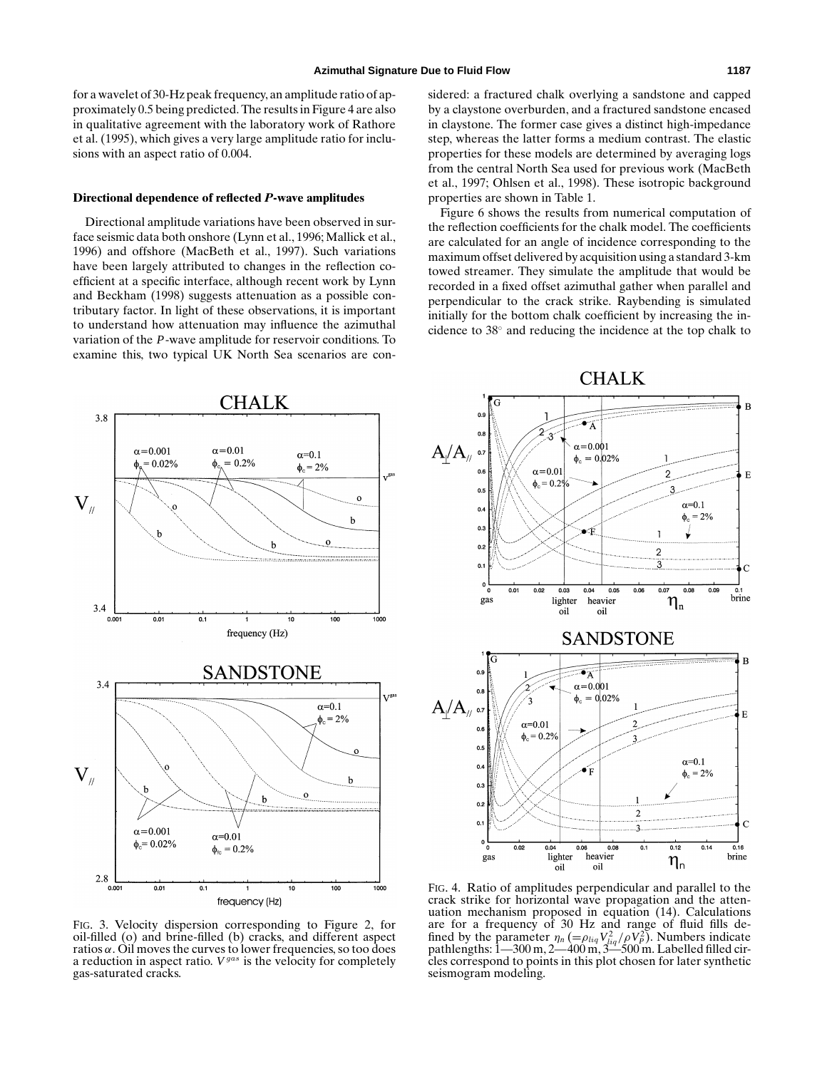for a wavelet of 30-Hz peak frequency, an amplitude ratio of approximately 0.5 being predicted. The results in Figure 4 are also in qualitative agreement with the laboratory work of Rathore et al. (1995), which gives a very large amplitude ratio for inclusions with an aspect ratio of 0.004.

#### **Directional dependence of reflected** *P***-wave amplitudes**

Directional amplitude variations have been observed in surface seismic data both onshore (Lynn et al., 1996; Mallick et al., 1996) and offshore (MacBeth et al., 1997). Such variations have been largely attributed to changes in the reflection coefficient at a specific interface, although recent work by Lynn and Beckham (1998) suggests attenuation as a possible contributary factor. In light of these observations, it is important to understand how attenuation may influence the azimuthal variation of the *P*-wave amplitude for reservoir conditions. To examine this, two typical UK North Sea scenarios are con-

CHALK  $3.8$  $\alpha = 0.01$  $\alpha = 0.001$  $\alpha=0.1$  $= 0.2%$  $0.02%$ ф, φ  $\phi_c = 2\%$  $V_{\text{N}}$  $\mathbf{o}$  $\mathbf b$  $3.4$  $0.01$  $\overline{0.1}$ 100 1000  $0.001$ 10 frequency (Hz) SANDSTONE  $3.4$  $\alpha=0.1$  $\phi_c = 2\%$  $\mathbf{V}_{\text{M}}$ b b  $\alpha = 0.001$  $\alpha=0.01$  $\phi_c = 0.02\%$  $\phi_{\text{fc}} = 0.2\%$ 2.8  $0.01$  $0.1$  $\overline{10}$  $\overline{100}$ 1000 0.001 frequency (Hz)

sidered: a fractured chalk overlying a sandstone and capped by a claystone overburden, and a fractured sandstone encased in claystone. The former case gives a distinct high-impedance step, whereas the latter forms a medium contrast. The elastic properties for these models are determined by averaging logs from the central North Sea used for previous work (MacBeth et al., 1997; Ohlsen et al., 1998). These isotropic background properties are shown in Table 1.

Figure 6 shows the results from numerical computation of the reflection coefficients for the chalk model. The coefficients are calculated for an angle of incidence corresponding to the maximum offset delivered by acquisition using a standard 3-km towed streamer. They simulate the amplitude that would be recorded in a fixed offset azimuthal gather when parallel and perpendicular to the crack strike. Raybending is simulated initially for the bottom chalk coefficient by increasing the incidence to 38◦ and reducing the incidence at the top chalk to



FIG. 3. Velocity dispersion corresponding to Figure 2, for oil-filled (o) and brine-filled (b) cracks, and different aspect ratios α. Oil moves the curves to lower frequencies, so too does a reduction in aspect ratio. *V*gas is the velocity for completely gas-saturated cracks.

FIG. 4. Ratio of amplitudes perpendicular and parallel to the crack strike for horizontal wave propagation and the attenuation mechanism proposed in equation (14). Calculations are for a frequency of 30 Hz and range of fluid fills defined by the parameter  $\eta_n (= \rho_{liq} V_{liq}^2 / \rho V_p^2)$ . Numbers indicate pathlengths: 1—300 m, 2—400 m, 3—500 m. Labelled filled circles correspond to points in this plot chosen for later synthetic seismogram modeling.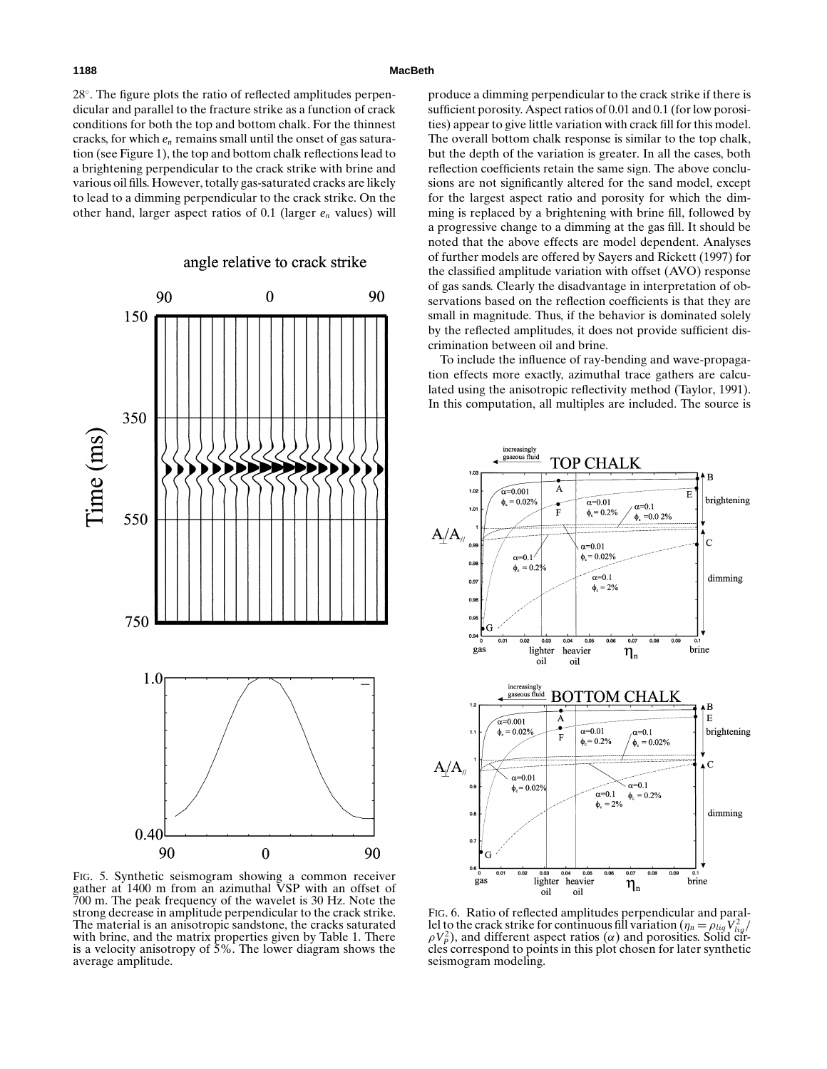#### **1188 MacBeth**

28°. The figure plots the ratio of reflected amplitudes perpendicular and parallel to the fracture strike as a function of crack conditions for both the top and bottom chalk. For the thinnest cracks, for which *en* remains small until the onset of gas saturation (see Figure 1), the top and bottom chalk reflections lead to a brightening perpendicular to the crack strike with brine and various oil fills. However, totally gas-saturated cracks are likely to lead to a dimming perpendicular to the crack strike. On the other hand, larger aspect ratios of 0.1 (larger *en* values) will

angle relative to crack strike

FIG. 5. Synthetic seismogram showing a common receiver gather at 1400 m from an azimuthal VSP with an offset of 700 m. The peak frequency of the wavelet is 30 Hz. Note the strong decrease in amplitude perpendicular to the crack strike. The material is an anisotropic sandstone, the cracks saturated with brine, and the matrix properties given by Table 1. There is a velocity anisotropy of 5%. The lower diagram shows the average amplitude.

produce a dimming perpendicular to the crack strike if there is sufficient porosity. Aspect ratios of 0.01 and 0.1 (for low porosities) appear to give little variation with crack fill for this model. The overall bottom chalk response is similar to the top chalk, but the depth of the variation is greater. In all the cases, both reflection coefficients retain the same sign. The above conclusions are not significantly altered for the sand model, except for the largest aspect ratio and porosity for which the dimming is replaced by a brightening with brine fill, followed by a progressive change to a dimming at the gas fill. It should be noted that the above effects are model dependent. Analyses of further models are offered by Sayers and Rickett (1997) for the classified amplitude variation with offset (AVO) response of gas sands. Clearly the disadvantage in interpretation of observations based on the reflection coefficients is that they are small in magnitude. Thus, if the behavior is dominated solely by the reflected amplitudes, it does not provide sufficient discrimination between oil and brine.

To include the influence of ray-bending and wave-propagation effects more exactly, azimuthal trace gathers are calculated using the anisotropic reflectivity method (Taylor, 1991). In this computation, all multiples are included. The source is

increasingly<br>gaseous fluid



FIG. 6. Ratio of reflected amplitudes perpendicular and parallel to the crack strike for continuous fill variation  $(\eta_n = \rho_{liq} V_{liq}^2 / V_{liq}^2)$  $\rho V_P^2$ ), and different aspect ratios ( $\alpha$ ) and porosities. Solid circles correspond to points in this plot chosen for later synthetic seismogram modeling.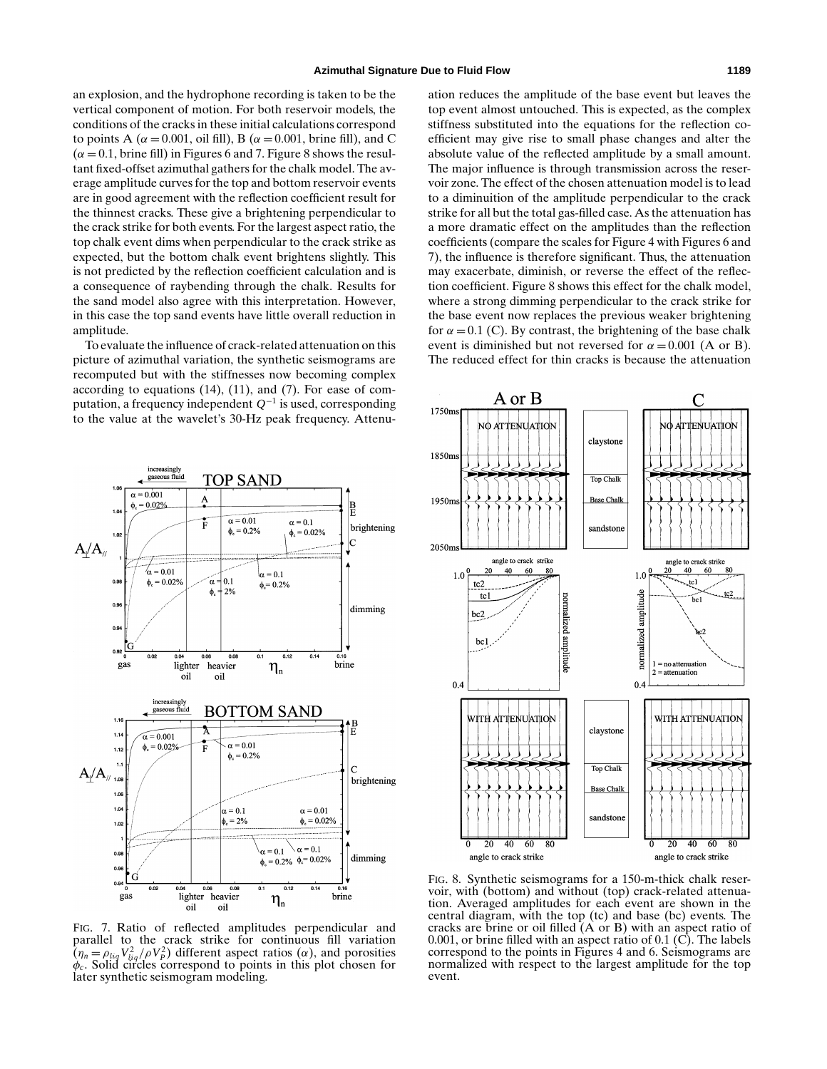an explosion, and the hydrophone recording is taken to be the vertical component of motion. For both reservoir models, the conditions of the cracks in these initial calculations correspond to points A ( $\alpha = 0.001$ , oil fill), B ( $\alpha = 0.001$ , brine fill), and C  $(\alpha = 0.1, \text{ brine fill})$  in Figures 6 and 7. Figure 8 shows the resultant fixed-offset azimuthal gathers for the chalk model. The average amplitude curves for the top and bottom reservoir events are in good agreement with the reflection coefficient result for the thinnest cracks. These give a brightening perpendicular to the crack strike for both events. For the largest aspect ratio, the top chalk event dims when perpendicular to the crack strike as expected, but the bottom chalk event brightens slightly. This is not predicted by the reflection coefficient calculation and is a consequence of raybending through the chalk. Results for the sand model also agree with this interpretation. However, in this case the top sand events have little overall reduction in amplitude.

To evaluate the influence of crack-related attenuation on this picture of azimuthal variation, the synthetic seismograms are recomputed but with the stiffnesses now becoming complex according to equations (14), (11), and (7). For ease of computation, a frequency independent *Q*−<sup>1</sup> is used, corresponding to the value at the wavelet's 30-Hz peak frequency. Attenuation reduces the amplitude of the base event but leaves the top event almost untouched. This is expected, as the complex stiffness substituted into the equations for the reflection coefficient may give rise to small phase changes and alter the absolute value of the reflected amplitude by a small amount. The major influence is through transmission across the reservoir zone. The effect of the chosen attenuation model is to lead to a diminuition of the amplitude perpendicular to the crack strike for all but the total gas-filled case. As the attenuation has a more dramatic effect on the amplitudes than the reflection coefficients (compare the scales for Figure 4 with Figures 6 and 7), the influence is therefore significant. Thus, the attenuation may exacerbate, diminish, or reverse the effect of the reflection coefficient. Figure 8 shows this effect for the chalk model, where a strong dimming perpendicular to the crack strike for the base event now replaces the previous weaker brightening for  $\alpha = 0.1$  (C). By contrast, the brightening of the base chalk event is diminished but not reversed for  $\alpha = 0.001$  (A or B). The reduced effect for thin cracks is because the attenuation



FIG. 7. Ratio of reflected amplitudes perpendicular and parallel to the crack strike for continuous fill variation  $(\eta_n = \rho_{liq} V_{liq}^2/\rho V_p^2)$  different aspect ratios  $(\alpha)$ , and porosities  $\overline{(\eta_n = \rho_{liq} V_{liq}^2 / \rho V_p^2)}$  different aspect ratios ( $\alpha$ ), and porosities  $\phi_c$ . Solid circles correspond to points in this plot chosen for later synthetic seismogram modeling.



FIG. 8. Synthetic seismograms for a 150-m-thick chalk reservoir, with (bottom) and without (top) crack-related attenuation. Averaged amplitudes for each event are shown in the central diagram, with the top (tc) and base (bc) events. The cracks are brine or oil filled (A or B) with an aspect ratio of 0.001, or brine filled with an aspect ratio of 0.1 (C). The labels correspond to the points in Figures 4 and 6. Seismograms are normalized with respect to the largest amplitude for the top event.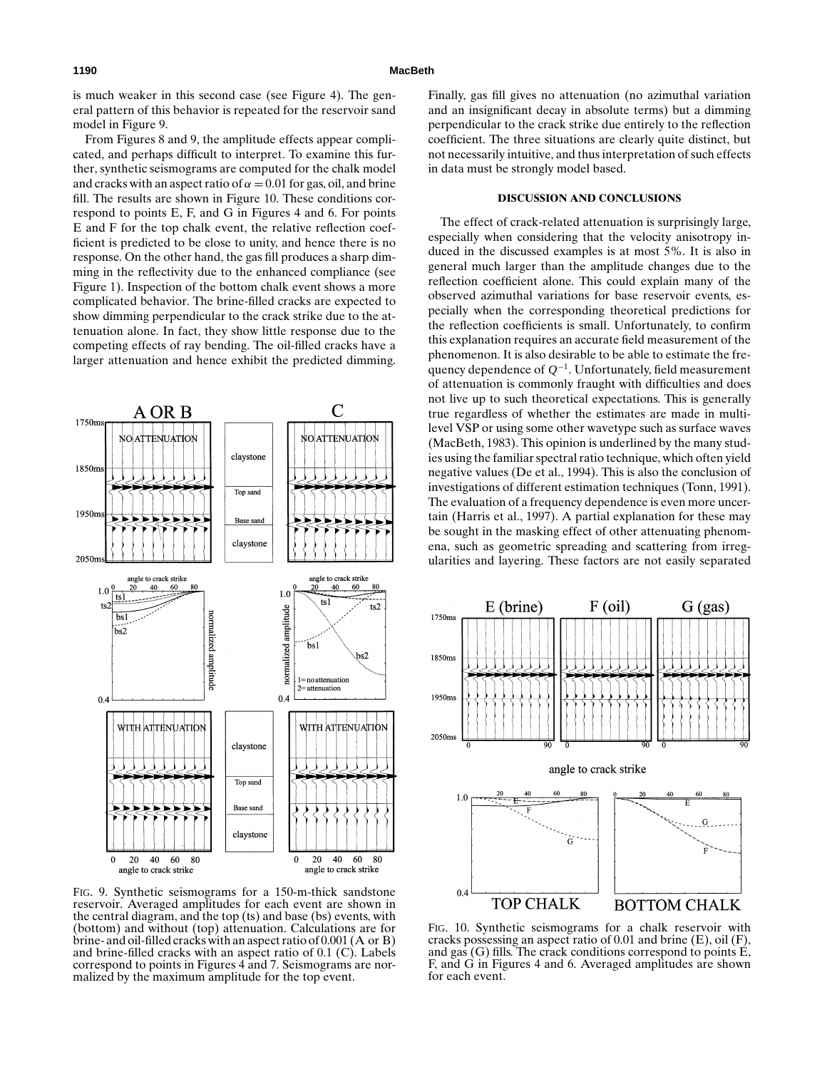is much weaker in this second case (see Figure 4). The general pattern of this behavior is repeated for the reservoir sand model in Figure 9.

From Figures 8 and 9, the amplitude effects appear complicated, and perhaps difficult to interpret. To examine this further, synthetic seismograms are computed for the chalk model and cracks with an aspect ratio of  $\alpha = 0.01$  for gas, oil, and brine fill. The results are shown in Figure 10. These conditions correspond to points E, F, and G in Figures 4 and 6. For points E and F for the top chalk event, the relative reflection coefficient is predicted to be close to unity, and hence there is no response. On the other hand, the gas fill produces a sharp dimming in the reflectivity due to the enhanced compliance (see Figure 1). Inspection of the bottom chalk event shows a more complicated behavior. The brine-filled cracks are expected to show dimming perpendicular to the crack strike due to the attenuation alone. In fact, they show little response due to the competing effects of ray bending. The oil-filled cracks have a larger attenuation and hence exhibit the predicted dimming.



FIG. 9. Synthetic seismograms for a 150-m-thick sandstone reservoir. Averaged amplitudes for each event are shown in the central diagram, and the top (ts) and base (bs) events, with (bottom) and without (top) attenuation. Calculations are for brine- and oil-filled cracks with an aspect ratio of 0.001 (A or B) and brine-filled cracks with an aspect ratio of 0.1 (C). Labels correspond to points in Figures 4 and 7. Seismograms are normalized by the maximum amplitude for the top event.

Finally, gas fill gives no attenuation (no azimuthal variation and an insignificant decay in absolute terms) but a dimming perpendicular to the crack strike due entirely to the reflection coefficient. The three situations are clearly quite distinct, but not necessarily intuitive, and thus interpretation of such effects in data must be strongly model based.

#### **DISCUSSION AND CONCLUSIONS**

The effect of crack-related attenuation is surprisingly large, especially when considering that the velocity anisotropy induced in the discussed examples is at most 5%. It is also in general much larger than the amplitude changes due to the reflection coefficient alone. This could explain many of the observed azimuthal variations for base reservoir events, especially when the corresponding theoretical predictions for the reflection coefficients is small. Unfortunately, to confirm this explanation requires an accurate field measurement of the phenomenon. It is also desirable to be able to estimate the frequency dependence of *Q*−1. Unfortunately, field measurement of attenuation is commonly fraught with difficulties and does not live up to such theoretical expectations. This is generally true regardless of whether the estimates are made in multilevel VSP or using some other wavetype such as surface waves (MacBeth, 1983). This opinion is underlined by the many studies using the familiar spectral ratio technique, which often yield negative values (De et al., 1994). This is also the conclusion of investigations of different estimation techniques (Tonn, 1991). The evaluation of a frequency dependence is even more uncertain (Harris et al., 1997). A partial explanation for these may be sought in the masking effect of other attenuating phenomena, such as geometric spreading and scattering from irregularities and layering. These factors are not easily separated



FIG. 10. Synthetic seismograms for a chalk reservoir with cracks possessing an aspect ratio of 0.01 and brine (E), oil (F), and gas (G) fills. The crack conditions correspond to points E, F, and G in Figures 4 and 6. Averaged amplitudes are shown for each event.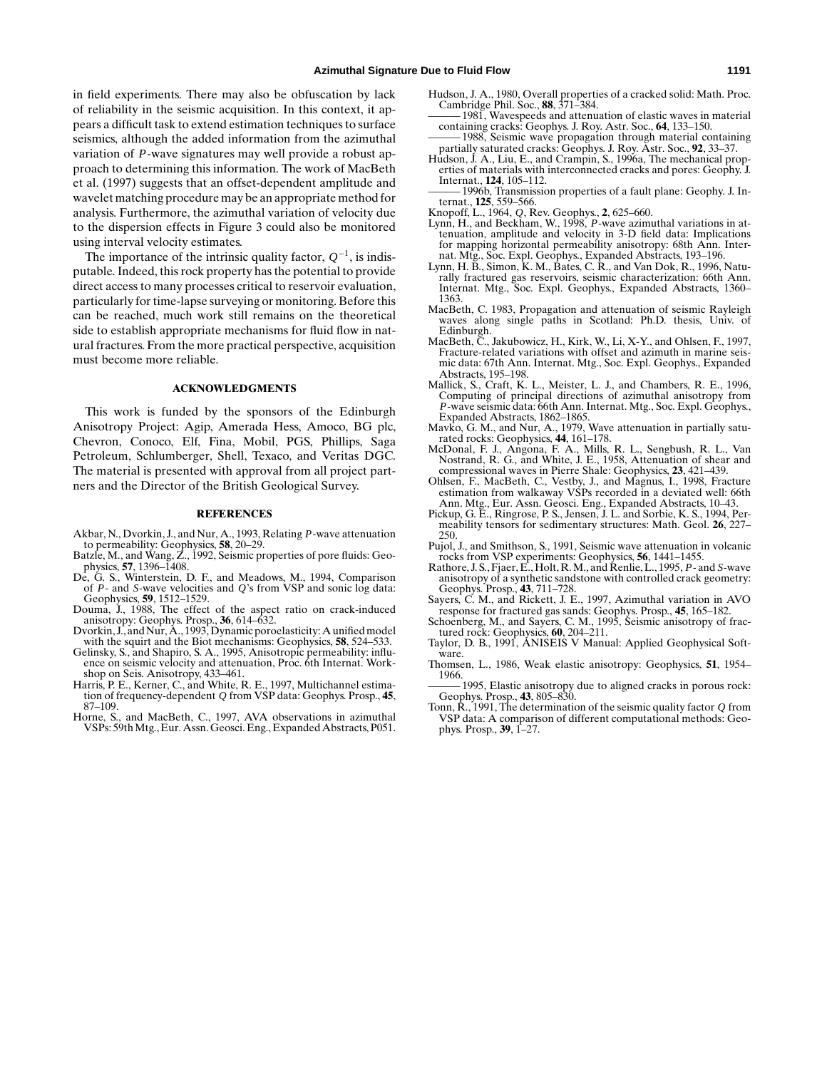in field experiments. There may also be obfuscation by lack of reliability in the seismic acquisition. In this context, it appears a difficult task to extend estimation techniques to surface seismics, although the added information from the azimuthal variation of *P*-wave signatures may well provide a robust approach to determining this information. The work of MacBeth et al. (1997) suggests that an offset-dependent amplitude and wavelet matching procedure may be an appropriate method for analysis. Furthermore, the azimuthal variation of velocity due to the dispersion effects in Figure 3 could also be monitored using interval velocity estimates.

The importance of the intrinsic quality factor,  $Q^{-1}$ , is indisputable. Indeed, this rock property has the potential to provide direct access to many processes critical to reservoir evaluation, particularly for time-lapse surveying or monitoring. Before this can be reached, much work still remains on the theoretical side to establish appropriate mechanisms for fluid flow in natural fractures. From the more practical perspective, acquisition must become more reliable.

#### **ACKNOWLEDGMENTS**

This work is funded by the sponsors of the Edinburgh Anisotropy Project: Agip, Amerada Hess, Amoco, BG plc, Chevron, Conoco, Elf, Fina, Mobil, PGS, Phillips, Saga Petroleum, Schlumberger, Shell, Texaco, and Veritas DGC. The material is presented with approval from all project partners and the Director of the British Geological Survey.

#### **REFERENCES**

- Akbar, N., Dvorkin, J., and Nur, A., 1993, Relating *P*-wave attenuation
- to permeability: Geophysics, **58**, 20–29. Batzle, M., and Wang, Z., 1992, Seismic properties of pore fluids: Geo-physics, **57**, 1396–1408.
- De, G. S., Winterstein, D. F., and Meadows, M., 1994, Comparison of *P* and *S*-wave velocities and *Q*'s from VSP and sonic log data: Geophysics, **59**, 1512–1529.
- Douma, J., 1988, The effect of the aspect ratio on crack-induced anisotropy: Geophys. Prosp., **36**, 614–632. Dvorkin, J., and Nur, A., 1993, Dynamic poroelasticity: A unified model
- with the squirt and the Biot mechanisms: Geophysics, **58**, 524–533.
- Gelinsky, S., and Shapiro, S. A., 1995, Anisotropic permeability: influence on seismic velocity and attenuation, Proc. 6th Internat. Workshop on Seis. Anisotropy, 433–461.
- Harris, P. E., Kerner, C., and White, R. E., 1997, Multichannel estimation of frequency-dependent *<sup>Q</sup>* from VSP data: Geophys. Prosp., **<sup>45</sup>**, 87–109.
- Horne, S., and MacBeth, C., 1997, AVA observations in azimuthal VSPs: 59thMtg., Eur. Assn. Geosci. Eng., Expanded Abstracts, P051.
- Hudson, J. A., 1980, Overall properties of a cracked solid: Math. Proc. Cambridge Phil. Soc., **88**, 371–384.
- 1981, Wavespeeds and attenuation of elastic waves in material containing cracks: Geophys. J. Roy. Astr. Soc., **64**, 133–150. 1988, Seismic wave propagation through material containing
- partially saturated cracks: Geophys. J. Roy. Astr. Soc., **92**, 33–37. Hudson, J. A., Liu, E., and Crampin, S., 1996a, The mechanical prop-
- erties of materials with interconnected cracks and pores: Geophy. J. Internat., **124**, 105–112.
- 1996b, Transmission properties of a fault plane: Geophy. J. Internat., **125**, 559–566.
- 
- Knopoff, L., 1964, *Q*, Rev. Geophys., **2**, 625–660. Lynn, H., and Beckham, W., 1998, *P*-wave azimuthal variations in attenuation, amplitude and velocity in 3-D field data: Implications for mapping horizontal permeability anisotropy: 68th Ann. Internat. Mtg., Soc. Expl. Geophys., Expanded Abstracts, 193–196.
- Lynn, H. B., Simon, K. M., Bates, C. R., and Van Dok, R., 1996, Naturally fractured gas reservoirs, seismic characterization: 66th Ann. Internat. Mtg., Soc. Expl. Geophys., Expanded Abstracts, 1360– 1363.
- MacBeth, C. 1983, Propagation and attenuation of seismic Rayleigh waves along single paths in Scotland: Ph.D. thesis, Univ. of Edinburgh.
- MacBeth, C., Jakubowicz, H., Kirk, W., Li, X-Y., and Ohlsen, F., 1997, Fracture-related variations with offset and azimuth in marine seismic data: 67th Ann. Internat. Mtg., Soc. Expl. Geophys., Expanded Abstracts, 195–198.
- Mallick, S., Craft, K. L., Meister, L. J., and Chambers, R. E., 1996, Computing of principal directions of azimuthal anisotropy from *P*-wave seismic data: 66th Ann. Internat. Mtg., Soc. Expl. Geophys., Expanded Abstracts, 1862–1865.
- Mavko, G. M., and Nur, A., 1979, Wave attenuation in partially saturated rocks: Geophysics, **44**, 161–178.
- McDonal, F. J., Angona, F. A., Mills, R. L., Sengbush, R. L., Van Nostrand, R. G., and White, J. E., 1958, Attenuation of shear and compressional waves in Pierre Shale: Geophysics, **23**, 421–439.
- Ohlsen, F., MacBeth, C., Vestby, J., and Magnus, I., 1998, Fracture estimation from walkaway VSPs recorded in a deviated well: 66th Ann. Mtg., Eur. Assn. Geosci. Eng., Expanded Abstracts, 10–43. Pickup, G. E., Ringrose, P. S., Jensen, J. L. and Sorbie, K. S., 1994, Per-
- meability tensors for sedimentary structures: Math. Geol. **26**, 227– 250.
- Pujol, J., and Smithson, S., 1991, Seismic wave attenuation in volcanic
- rocks from VSP experiments: Geophysics, **56**, 1441–1455. Rathore, J. S., Fjaer, E., Holt, R.M., and Renlie, L., 1995, *P* and *S*-wave anisotropy of a synthetic sandstone with controlled crack geometry:
- Geophys. Prosp., **43**, 711–728. Sayers, C. M., and Rickett, J. E., 1997, Azimuthal variation in AVO response for fractured gas sands: Geophys. Prosp., **45**, 165–182.
- Schoenberg, M., and Sayers, C. M., 1995, Seismic anisotropy of frac-tured rock: Geophysics, **60**, 204–211.
- Taylor, D. B., 1991, ANISEIS V Manual: Applied Geophysical Software.
- Thomsen, L., 1986, Weak elastic anisotropy: Geophysics, **51**, 1954– 1966.
- 1995, Elastic anisotropy due to aligned cracks in porous rock: Geophys. Prosp., **43**, 805–830.
- Tonn, R., 1991, The determination of the seismic quality factor *Q* from VSP data: A comparison of different computational methods: Geophys. Prosp., **39**, 1–27.